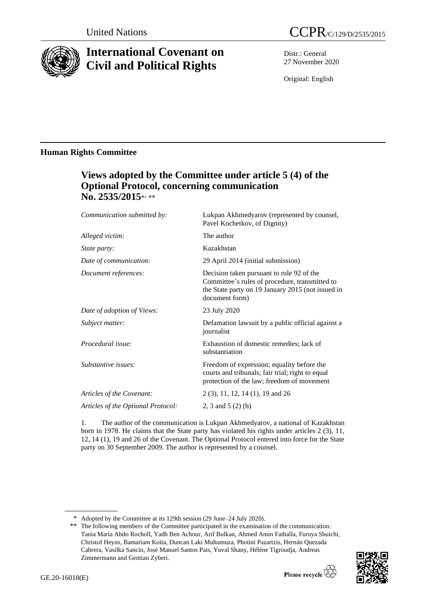

# **International Covenant on Civil and Political Rights**

Distr.: General 27 November 2020

Original: English

# **Human Rights Committee**

# **Views adopted by the Committee under article 5 (4) of the Optional Protocol, concerning communication**  No. 2535/2015\*<sub>\*\*\*</sub>

| Communication submitted by:        | Lukpan Akhmedyarov (represented by counsel,<br>Pavel Kochetkov, of Dignity)                                                                                        |
|------------------------------------|--------------------------------------------------------------------------------------------------------------------------------------------------------------------|
| Alleged victim:                    | The author                                                                                                                                                         |
| <i>State party:</i>                | Kazakhstan                                                                                                                                                         |
| Date of communication:             | 29 April 2014 (initial submission)                                                                                                                                 |
| Document references:               | Decision taken pursuant to rule 92 of the<br>Committee's rules of procedure, transmitted to<br>the State party on 19 January 2015 (not issued in<br>document form) |
| Date of adoption of Views:         | 23 July 2020                                                                                                                                                       |
| Subject matter:                    | Defamation lawsuit by a public official against a<br>journalist                                                                                                    |
| Procedural issue:                  | Exhaustion of domestic remedies; lack of<br>substantiation                                                                                                         |
| Substantive issues:                | Freedom of expression; equality before the<br>courts and tribunals; fair trial; right to equal<br>protection of the law; freedom of movement                       |
| Articles of the Covenant:          | 2 (3), 11, 12, 14 (1), 19 and 26                                                                                                                                   |
| Articles of the Optional Protocol: | 2, 3 and 5 $(2)$ (b)                                                                                                                                               |
|                                    |                                                                                                                                                                    |

1. The author of the communication is Lukpan Akhmedyarov, a national of Kazakhstan born in 1978. He claims that the State party has violated his rights under articles 2 (3), 11, 12, 14 (1), 19 and 26 of the Covenant. The Optional Protocol entered into force for the State party on 30 September 2009. The author is represented by a counsel.

<sup>\*\*</sup> The following members of the Committee participated in the examination of the communication: Tania María Abdo Rocholl, Yadh Ben Achour, Arif Bulkan, Ahmed Amin Fathalla, Furuya Shuichi, Christof Heyns, Bamariam Koita, Duncan Laki Muhumuza, Photini Pazartzis, Hernán Quezada Cabrera, Vasilka Sancin, José Manuel Santos Pais, Yuval Shany, Hélène Tigroudja, Andreas Zimmermann and Gentian Zyberi.



<sup>\*</sup> Adopted by the Committee at its 129th session (29 June–24 July 2020).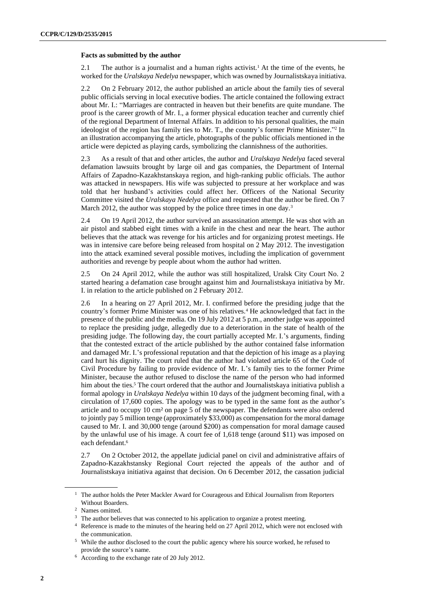#### **Facts as submitted by the author**

2.1 The author is a journalist and a human rights activist.<sup>1</sup> At the time of the events, he worked for the *Uralskaya Nedelya* newspaper, which was owned by Journalistskaya initiativa.

2.2 On 2 February 2012, the author published an article about the family ties of several public officials serving in local executive bodies. The article contained the following extract about Mr. I.: "Marriages are contracted in heaven but their benefits are quite mundane. The proof is the career growth of Mr. I., a former physical education teacher and currently chief of the regional Department of Internal Affairs. In addition to his personal qualities, the main ideologist of the region has family ties to Mr. T., the country's former Prime Minister."<sup>2</sup> In an illustration accompanying the article, photographs of the public officials mentioned in the article were depicted as playing cards, symbolizing the clannishness of the authorities.

2.3 As a result of that and other articles, the author and *Uralskaya Nedelya* faced several defamation lawsuits brought by large oil and gas companies, the Department of Internal Affairs of Zapadno-Kazakhstanskaya region, and high-ranking public officials. The author was attacked in newspapers. His wife was subjected to pressure at her workplace and was told that her husband's activities could affect her. Officers of the National Security Committee visited the *Uralskaya Nedelya* office and requested that the author be fired. On 7 March 2012, the author was stopped by the police three times in one day.<sup>3</sup>

2.4 On 19 April 2012, the author survived an assassination attempt. He was shot with an air pistol and stabbed eight times with a knife in the chest and near the heart. The author believes that the attack was revenge for his articles and for organizing protest meetings. He was in intensive care before being released from hospital on 2 May 2012. The investigation into the attack examined several possible motives, including the implication of government authorities and revenge by people about whom the author had written.

2.5 On 24 April 2012, while the author was still hospitalized, Uralsk City Court No. 2 started hearing a defamation case brought against him and Journalistskaya initiativa by Mr. I. in relation to the article published on 2 February 2012.

2.6 In a hearing on 27 April 2012, Mr. I. confirmed before the presiding judge that the country's former Prime Minister was one of his relatives.<sup>4</sup> He acknowledged that fact in the presence of the public and the media. On 19 July 2012 at 5 p.m., another judge was appointed to replace the presiding judge, allegedly due to a deterioration in the state of health of the presiding judge. The following day, the court partially accepted Mr. I.'s arguments, finding that the contested extract of the article published by the author contained false information and damaged Mr. I.'s professional reputation and that the depiction of his image as a playing card hurt his dignity. The court ruled that the author had violated article 65 of the Code of Civil Procedure by failing to provide evidence of Mr. I.'s family ties to the former Prime Minister, because the author refused to disclose the name of the person who had informed him about the ties.<sup>5</sup> The court ordered that the author and Journalistskaya initiativa publish a formal apology in *Uralskaya Nedelya* within 10 days of the judgment becoming final, with a circulation of 17,600 copies. The apology was to be typed in the same font as the author's article and to occupy 10 cm² on page 5 of the newspaper. The defendants were also ordered to jointly pay 5 million tenge (approximately \$33,000) as compensation for the moral damage caused to Mr. I. and 30,000 tenge (around \$200) as compensation for moral damage caused by the unlawful use of his image. A court fee of 1,618 tenge (around \$11) was imposed on each defendant.<sup>6</sup>

2.7 On 2 October 2012, the appellate judicial panel on civil and administrative affairs of Zapadno-Kazakhstansky Regional Court rejected the appeals of the author and of Journalistskaya initiativa against that decision. On 6 December 2012, the cassation judicial

<sup>&</sup>lt;sup>1</sup> The author holds the Peter Mackler Award for Courageous and Ethical Journalism from Reporters Without Boarders.

<sup>2</sup> Names omitted.

<sup>&</sup>lt;sup>3</sup> The author believes that was connected to his application to organize a protest meeting.

<sup>4</sup> Reference is made to the minutes of the hearing held on 27 April 2012, which were not enclosed with the communication.

<sup>5</sup> While the author disclosed to the court the public agency where his source worked, he refused to provide the source's name.

<sup>6</sup> According to the exchange rate of 20 July 2012.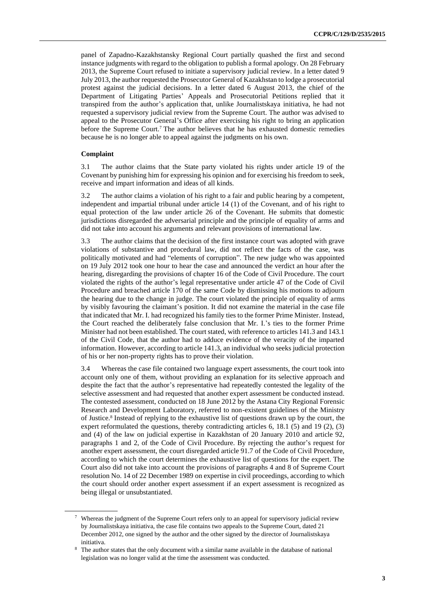panel of Zapadno-Kazakhstansky Regional Court partially quashed the first and second instance judgments with regard to the obligation to publish a formal apology. On 28 February 2013, the Supreme Court refused to initiate a supervisory judicial review. In a letter dated 9 July 2013, the author requested the Prosecutor General of Kazakhstan to lodge a prosecutorial protest against the judicial decisions. In a letter dated 6 August 2013, the chief of the Department of Litigating Parties' Appeals and Prosecutorial Petitions replied that it transpired from the author's application that, unlike Journalistskaya initiativa, he had not requested a supervisory judicial review from the Supreme Court. The author was advised to appeal to the Prosecutor General's Office after exercising his right to bring an application before the Supreme Court.<sup>7</sup> The author believes that he has exhausted domestic remedies because he is no longer able to appeal against the judgments on his own.

# **Complaint**

3.1 The author claims that the State party violated his rights under article 19 of the Covenant by punishing him for expressing his opinion and for exercising his freedom to seek, receive and impart information and ideas of all kinds.

3.2 The author claims a violation of his right to a fair and public hearing by a competent, independent and impartial tribunal under article 14 (1) of the Covenant, and of his right to equal protection of the law under article 26 of the Covenant. He submits that domestic jurisdictions disregarded the adversarial principle and the principle of equality of arms and did not take into account his arguments and relevant provisions of international law.

3.3 The author claims that the decision of the first instance court was adopted with grave violations of substantive and procedural law, did not reflect the facts of the case, was politically motivated and had "elements of corruption". The new judge who was appointed on 19 July 2012 took one hour to hear the case and announced the verdict an hour after the hearing, disregarding the provisions of chapter 16 of the Code of Civil Procedure. The court violated the rights of the author's legal representative under article 47 of the Code of Civil Procedure and breached article 170 of the same Code by dismissing his motions to adjourn the hearing due to the change in judge. The court violated the principle of equality of arms by visibly favouring the claimant's position. It did not examine the material in the case file that indicated that Mr. I. had recognized his family ties to the former Prime Minister. Instead, the Court reached the deliberately false conclusion that Mr. I.'s ties to the former Prime Minister had not been established. The court stated, with reference to articles 141.3 and 143.1 of the Civil Code, that the author had to adduce evidence of the veracity of the imparted information. However, according to article 141.3, an individual who seeks judicial protection of his or her non-property rights has to prove their violation.

3.4 Whereas the case file contained two language expert assessments, the court took into account only one of them, without providing an explanation for its selective approach and despite the fact that the author's representative had repeatedly contested the legality of the selective assessment and had requested that another expert assessment be conducted instead. The contested assessment, conducted on 18 June 2012 by the Astana City Regional Forensic Research and Development Laboratory, referred to non-existent guidelines of the Ministry of Justice.<sup>8</sup> Instead of replying to the exhaustive list of questions drawn up by the court, the expert reformulated the questions, thereby contradicting articles 6, 18.1 (5) and 19 (2), (3) and (4) of the law on judicial expertise in Kazakhstan of 20 January 2010 and article 92, paragraphs 1 and 2, of the Code of Civil Procedure. By rejecting the author's request for another expert assessment, the court disregarded article 91.7 of the Code of Civil Procedure, according to which the court determines the exhaustive list of questions for the expert. The Court also did not take into account the provisions of paragraphs 4 and 8 of Supreme Court resolution No. 14 of 22 December 1989 on expertise in civil proceedings, according to which the court should order another expert assessment if an expert assessment is recognized as being illegal or unsubstantiated.

<sup>7</sup> Whereas the judgment of the Supreme Court refers only to an appeal for supervisory judicial review by Journalistskaya initiativa, the case file contains two appeals to the Supreme Court, dated 21 December 2012, one signed by the author and the other signed by the director of Journalistskaya initiativa.

<sup>8</sup> The author states that the only document with a similar name available in the database of national legislation was no longer valid at the time the assessment was conducted.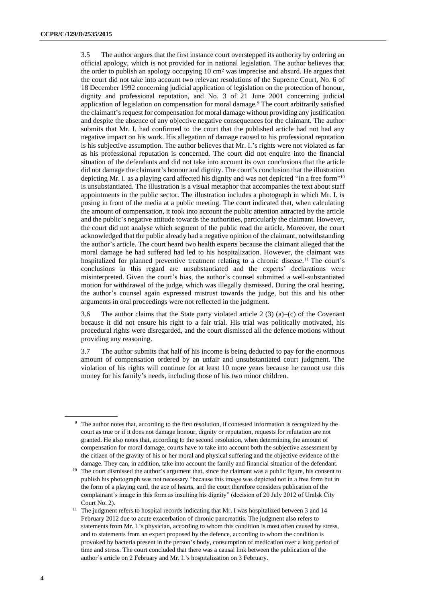3.5 The author argues that the first instance court overstepped its authority by ordering an official apology, which is not provided for in national legislation. The author believes that the order to publish an apology occupying 10 cm² was imprecise and absurd. He argues that the court did not take into account two relevant resolutions of the Supreme Court, No. 6 of 18 December 1992 concerning judicial application of legislation on the protection of honour, dignity and professional reputation, and No. 3 of 21 June 2001 concerning judicial application of legislation on compensation for moral damage.<sup>9</sup> The court arbitrarily satisfied the claimant's request for compensation for moral damage without providing any justification and despite the absence of any objective negative consequences for the claimant. The author submits that Mr. I. had confirmed to the court that the published article had not had any negative impact on his work. His allegation of damage caused to his professional reputation is his subjective assumption. The author believes that Mr. I.'s rights were not violated as far as his professional reputation is concerned. The court did not enquire into the financial situation of the defendants and did not take into account its own conclusions that the article did not damage the claimant's honour and dignity. The court's conclusion that the illustration depicting Mr. I. as a playing card affected his dignity and was not depicted "in a free form" 10 is unsubstantiated. The illustration is a visual metaphor that accompanies the text about staff appointments in the public sector. The illustration includes a photograph in which Mr. I. is posing in front of the media at a public meeting. The court indicated that, when calculating the amount of compensation, it took into account the public attention attracted by the article and the public's negative attitude towards the authorities, particularly the claimant. However, the court did not analyse which segment of the public read the article. Moreover, the court acknowledged that the public already had a negative opinion of the claimant, notwithstanding the author's article. The court heard two health experts because the claimant alleged that the moral damage he had suffered had led to his hospitalization. However, the claimant was hospitalized for planned preventive treatment relating to a chronic disease.<sup>11</sup> The court's conclusions in this regard are unsubstantiated and the experts' declarations were misinterpreted. Given the court's bias, the author's counsel submitted a well-substantiated motion for withdrawal of the judge, which was illegally dismissed. During the oral hearing, the author's counsel again expressed mistrust towards the judge, but this and his other arguments in oral proceedings were not reflected in the judgment.

3.6 The author claims that the State party violated article 2 (3) (a)–(c) of the Covenant because it did not ensure his right to a fair trial. His trial was politically motivated, his procedural rights were disregarded, and the court dismissed all the defence motions without providing any reasoning.

3.7 The author submits that half of his income is being deducted to pay for the enormous amount of compensation ordered by an unfair and unsubstantiated court judgment. The violation of his rights will continue for at least 10 more years because he cannot use this money for his family's needs, including those of his two minor children.

<sup>9</sup> The author notes that, according to the first resolution, if contested information is recognized by the court as true or if it does not damage honour, dignity or reputation, requests for refutation are not granted. He also notes that, according to the second resolution, when determining the amount of compensation for moral damage, courts have to take into account both the subjective assessment by the citizen of the gravity of his or her moral and physical suffering and the objective evidence of the damage. They can, in addition, take into account the family and financial situation of the defendant.

<sup>&</sup>lt;sup>10</sup> The court dismissed the author's argument that, since the claimant was a public figure, his consent to publish his photograph was not necessary "because this image was depicted not in a free form but in the form of a playing card, the ace of hearts, and the court therefore considers publication of the complainant's image in this form as insulting his dignity" (decision of 20 July 2012 of Uralsk City Court No. 2).

<sup>&</sup>lt;sup>11</sup> The judgment refers to hospital records indicating that Mr. I was hospitalized between 3 and 14 February 2012 due to acute exacerbation of chronic pancreatitis. The judgment also refers to statements from Mr. I.'s physician, according to whom this condition is most often caused by stress, and to statements from an expert proposed by the defence, according to whom the condition is provoked by bacteria present in the person's body, consumption of medication over a long period of time and stress. The court concluded that there was a causal link between the publication of the author's article on 2 February and Mr. I.'s hospitalization on 3 February.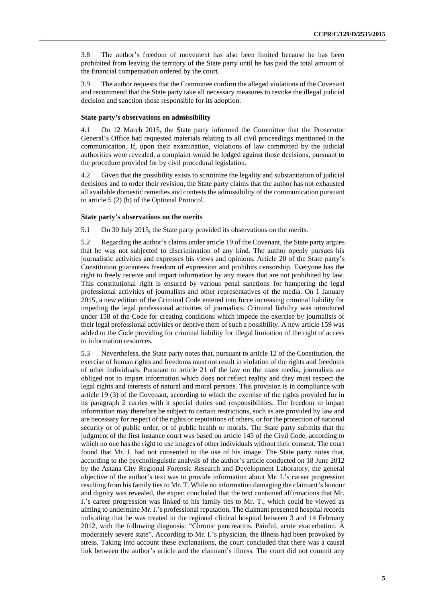3.8 The author's freedom of movement has also been limited because he has been prohibited from leaving the territory of the State party until he has paid the total amount of the financial compensation ordered by the court.

3.9 The author requests that the Committee confirm the alleged violations of the Covenant and recommend that the State party take all necessary measures to revoke the illegal judicial decision and sanction those responsible for its adoption.

### **State party's observations on admissibility**

4.1 On 12 March 2015, the State party informed the Committee that the Prosecutor General's Office had requested materials relating to all civil proceedings mentioned in the communication. If, upon their examination, violations of law committed by the judicial authorities were revealed, a complaint would be lodged against those decisions, pursuant to the procedure provided for by civil procedural legislation.

4.2 Given that the possibility exists to scrutinize the legality and substantiation of judicial decisions and to order their revision, the State party claims that the author has not exhausted all available domestic remedies and contests the admissibility of the communication pursuant to article 5 (2) (b) of the Optional Protocol.

# **State party's observations on the merits**

5.1 On 30 July 2015, the State party provided its observations on the merits.

5.2 Regarding the author's claims under article 19 of the Covenant, the State party argues that he was not subjected to discrimination of any kind. The author openly pursues his journalistic activities and expresses his views and opinions. Article 20 of the State party's Constitution guarantees freedom of expression and prohibits censorship. Everyone has the right to freely receive and impart information by any means that are not prohibited by law. This constitutional right is ensured by various penal sanctions for hampering the legal professional activities of journalists and other representatives of the media. On 1 January 2015, a new edition of the Criminal Code entered into force increasing criminal liability for impeding the legal professional activities of journalists. Criminal liability was introduced under 158 of the Code for creating conditions which impede the exercise by journalists of their legal professional activities or deprive them of such a possibility. A new article 159 was added to the Code providing for criminal liability for illegal limitation of the right of access to information resources.

5.3 Nevertheless, the State party notes that, pursuant to article 12 of the Constitution, the exercise of human rights and freedoms must not result in violation of the rights and freedoms of other individuals. Pursuant to article 21 of the law on the mass media, journalists are obliged not to impart information which does not reflect reality and they must respect the legal rights and interests of natural and moral persons. This provision is in compliance with article 19 (3) of the Covenant, according to which the exercise of the rights provided for in its paragraph 2 carries with it special duties and responsibilities. The freedom to impart information may therefore be subject to certain restrictions, such as are provided by law and are necessary for respect of the rights or reputations of others, or for the protection of national security or of public order, or of public health or morals. The State party submits that the judgment of the first instance court was based on article 145 of the Civil Code, according to which no one has the right to use images of other individuals without their consent. The court found that Mr. I. had not consented to the use of his image. The State party notes that, according to the psycholinguistic analysis of the author's article conducted on 18 June 2012 by the Astana City Regional Forensic Research and Development Laboratory, the general objective of the author's text was to provide information about Mr. I.'s career progression resulting from his family ties to Mr. T. While no information damaging the claimant's honour and dignity was revealed, the expert concluded that the text contained affirmations that Mr. I.'s career progression was linked to his family ties to Mr. T., which could be viewed as aiming to undermine Mr. I.'s professional reputation. The claimant presented hospital records indicating that he was treated in the regional clinical hospital between 3 and 14 February 2012, with the following diagnosis: "Chronic pancreatitis. Painful, acute exacerbation. A moderately severe state". According to Mr. I.'s physician, the illness had been provoked by stress. Taking into account these explanations, the court concluded that there was a causal link between the author's article and the claimant's illness. The court did not commit any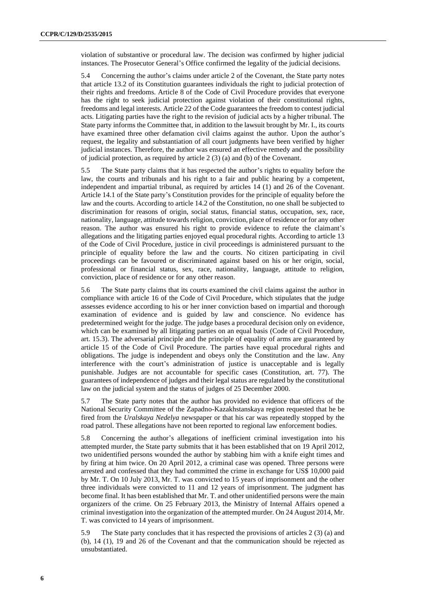violation of substantive or procedural law. The decision was confirmed by higher judicial instances. The Prosecutor General's Office confirmed the legality of the judicial decisions.

5.4 Concerning the author's claims under article 2 of the Covenant, the State party notes that article 13.2 of its Constitution guarantees individuals the right to judicial protection of their rights and freedoms. Article 8 of the Code of Civil Procedure provides that everyone has the right to seek judicial protection against violation of their constitutional rights, freedoms and legal interests. Article 22 of the Code guarantees the freedom to contest judicial acts. Litigating parties have the right to the revision of judicial acts by a higher tribunal. The State party informs the Committee that, in addition to the lawsuit brought by Mr. I., its courts have examined three other defamation civil claims against the author. Upon the author's request, the legality and substantiation of all court judgments have been verified by higher judicial instances. Therefore, the author was ensured an effective remedy and the possibility of judicial protection, as required by article 2 (3) (a) and (b) of the Covenant.

5.5 The State party claims that it has respected the author's rights to equality before the law, the courts and tribunals and his right to a fair and public hearing by a competent, independent and impartial tribunal, as required by articles 14 (1) and 26 of the Covenant. Article 14.1 of the State party's Constitution provides for the principle of equality before the law and the courts. According to article 14.2 of the Constitution, no one shall be subjected to discrimination for reasons of origin, social status, financial status, occupation, sex, race, nationality, language, attitude towards religion, conviction, place of residence or for any other reason. The author was ensured his right to provide evidence to refute the claimant's allegations and the litigating parties enjoyed equal procedural rights. According to article 13 of the Code of Civil Procedure, justice in civil proceedings is administered pursuant to the principle of equality before the law and the courts. No citizen participating in civil proceedings can be favoured or discriminated against based on his or her origin, social, professional or financial status, sex, race, nationality, language, attitude to religion, conviction, place of residence or for any other reason.

5.6 The State party claims that its courts examined the civil claims against the author in compliance with article 16 of the Code of Civil Procedure, which stipulates that the judge assesses evidence according to his or her inner conviction based on impartial and thorough examination of evidence and is guided by law and conscience. No evidence has predetermined weight for the judge. The judge bases a procedural decision only on evidence, which can be examined by all litigating parties on an equal basis (Code of Civil Procedure, art. 15.3). The adversarial principle and the principle of equality of arms are guaranteed by article 15 of the Code of Civil Procedure. The parties have equal procedural rights and obligations. The judge is independent and obeys only the Constitution and the law. Any interference with the court's administration of justice is unacceptable and is legally punishable. Judges are not accountable for specific cases (Constitution, art. 77). The guarantees of independence of judges and their legal status are regulated by the constitutional law on the judicial system and the status of judges of 25 December 2000.

5.7 The State party notes that the author has provided no evidence that officers of the National Security Committee of the Zapadno-Kazakhstanskaya region requested that he be fired from the *Uralskaya Nedelya* newspaper or that his car was repeatedly stopped by the road patrol. These allegations have not been reported to regional law enforcement bodies.

5.8 Concerning the author's allegations of inefficient criminal investigation into his attempted murder, the State party submits that it has been established that on 19 April 2012, two unidentified persons wounded the author by stabbing him with a knife eight times and by firing at him twice. On 20 April 2012, a criminal case was opened. Three persons were arrested and confessed that they had committed the crime in exchange for US\$ 10,000 paid by Mr. T. On 10 July 2013, Mr. T. was convicted to 15 years of imprisonment and the other three individuals were convicted to 11 and 12 years of imprisonment. The judgment has become final. It has been established that Mr. T. and other unidentified persons were the main organizers of the crime. On 25 February 2013, the Ministry of Internal Affairs opened a criminal investigation into the organization of the attempted murder. On 24 August 2014, Mr. T. was convicted to 14 years of imprisonment.

5.9 The State party concludes that it has respected the provisions of articles 2 (3) (a) and (b), 14 (1), 19 and 26 of the Covenant and that the communication should be rejected as unsubstantiated.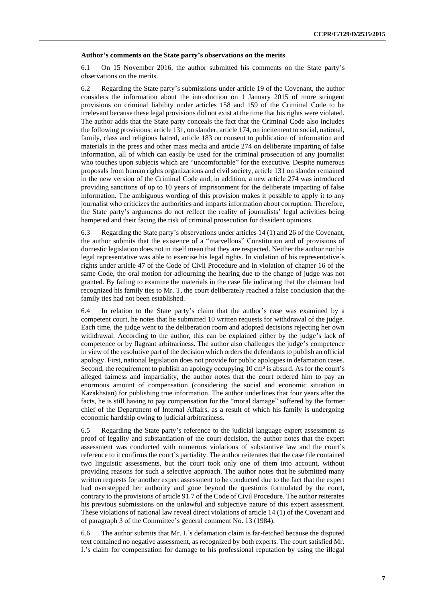#### **Author's comments on the State party's observations on the merits**

6.1 On 15 November 2016, the author submitted his comments on the State party's observations on the merits.

6.2 Regarding the State party's submissions under article 19 of the Covenant, the author considers the information about the introduction on 1 January 2015 of more stringent provisions on criminal liability under articles 158 and 159 of the Criminal Code to be irrelevant because these legal provisions did not exist at the time that his rights were violated. The author adds that the State party conceals the fact that the Criminal Code also includes the following provisions: article 131, on slander, article 174, on incitement to social, national, family, class and religious hatred, article 183 on consent to publication of information and materials in the press and other mass media and article 274 on deliberate imparting of false information, all of which can easily be used for the criminal prosecution of any journalist who touches upon subjects which are "uncomfortable" for the executive. Despite numerous proposals from human rights organizations and civil society, article 131 on slander remained in the new version of the Criminal Code and, in addition, a new article 274 was introduced providing sanctions of up to 10 years of imprisonment for the deliberate imparting of false information. The ambiguous wording of this provision makes it possible to apply it to any journalist who criticizes the authorities and imparts information about corruption. Therefore, the State party's arguments do not reflect the reality of journalists' legal activities being hampered and their facing the risk of criminal prosecution for dissident opinions.

6.3 Regarding the State party's observations under articles 14 (1) and 26 of the Covenant, the author submits that the existence of a "marvellous" Constitution and of provisions of domestic legislation does not in itself mean that they are respected. Neither the author nor his legal representative was able to exercise his legal rights. In violation of his representative's rights under article 47 of the Code of Civil Procedure and in violation of chapter 16 of the same Code, the oral motion for adjourning the hearing due to the change of judge was not granted. By failing to examine the materials in the case file indicating that the claimant had recognized his family ties to Mr. T, the court deliberately reached a false conclusion that the family ties had not been established.

6.4 In relation to the State party's claim that the author's case was examined by a competent court, he notes that he submitted 10 written requests for withdrawal of the judge. Each time, the judge went to the deliberation room and adopted decisions rejecting her own withdrawal. According to the author, this can be explained either by the judge's lack of competence or by flagrant arbitrariness. The author also challenges the judge's competence in view of the resolutive part of the decision which orders the defendants to publish an official apology. First, national legislation does not provide for public apologies in defamation cases. Second, the requirement to publish an apology occupying 10 cm² is absurd. As for the court's alleged fairness and impartiality, the author notes that the court ordered him to pay an enormous amount of compensation (considering the social and economic situation in Kazakhstan) for publishing true information. The author underlines that four years after the facts, he is still having to pay compensation for the "moral damage" suffered by the former chief of the Department of Internal Affairs, as a result of which his family is undergoing economic hardship owing to judicial arbitrariness.

6.5 Regarding the State party's reference to the judicial language expert assessment as proof of legality and substantiation of the court decision, the author notes that the expert assessment was conducted with numerous violations of substantive law and the court's reference to it confirms the court's partiality. The author reiterates that the case file contained two linguistic assessments, but the court took only one of them into account, without providing reasons for such a selective approach. The author notes that he submitted many written requests for another expert assessment to be conducted due to the fact that the expert had overstepped her authority and gone beyond the questions formulated by the court, contrary to the provisions of article 91.7 of the Code of Civil Procedure. The author reiterates his previous submissions on the unlawful and subjective nature of this expert assessment. These violations of national law reveal direct violations of article 14 (1) of the Covenant and of paragraph 3 of the Committee's general comment No. 13 (1984).

6.6 The author submits that Mr. I.'s defamation claim is far-fetched because the disputed text contained no negative assessment, as recognized by both experts. The court satisfied Mr. I.'s claim for compensation for damage to his professional reputation by using the illegal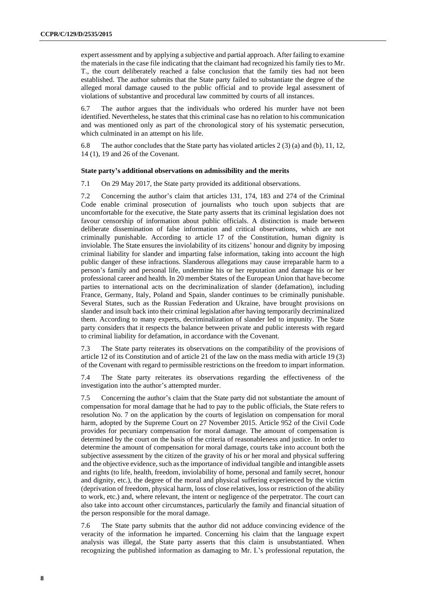expert assessment and by applying a subjective and partial approach. After failing to examine the materials in the case file indicating that the claimant had recognized his family ties to Mr. T., the court deliberately reached a false conclusion that the family ties had not been established. The author submits that the State party failed to substantiate the degree of the alleged moral damage caused to the public official and to provide legal assessment of violations of substantive and procedural law committed by courts of all instances.

6.7 The author argues that the individuals who ordered his murder have not been identified. Nevertheless, he states that this criminal case has no relation to his communication and was mentioned only as part of the chronological story of his systematic persecution, which culminated in an attempt on his life.

6.8 The author concludes that the State party has violated articles 2 (3) (a) and (b), 11, 12, 14 (1), 19 and 26 of the Covenant.

# **State party's additional observations on admissibility and the merits**

7.1 On 29 May 2017, the State party provided its additional observations.

7.2 Concerning the author's claim that articles 131, 174, 183 and 274 of the Criminal Code enable criminal prosecution of journalists who touch upon subjects that are uncomfortable for the executive, the State party asserts that its criminal legislation does not favour censorship of information about public officials. A distinction is made between deliberate dissemination of false information and critical observations, which are not criminally punishable. According to article 17 of the Constitution, human dignity is inviolable. The State ensures the inviolability of its citizens' honour and dignity by imposing criminal liability for slander and imparting false information, taking into account the high public danger of these infractions. Slanderous allegations may cause irreparable harm to a person's family and personal life, undermine his or her reputation and damage his or her professional career and health. In 20 member States of the European Union that have become parties to international acts on the decriminalization of slander (defamation), including France, Germany, Italy, Poland and Spain, slander continues to be criminally punishable. Several States, such as the Russian Federation and Ukraine, have brought provisions on slander and insult back into their criminal legislation after having temporarily decriminalized them. According to many experts, decriminalization of slander led to impunity. The State party considers that it respects the balance between private and public interests with regard to criminal liability for defamation, in accordance with the Covenant.

7.3 The State party reiterates its observations on the compatibility of the provisions of article 12 of its Constitution and of article 21 of the law on the mass media with article 19 (3) of the Covenant with regard to permissible restrictions on the freedom to impart information.

7.4 The State party reiterates its observations regarding the effectiveness of the investigation into the author's attempted murder.

7.5 Concerning the author's claim that the State party did not substantiate the amount of compensation for moral damage that he had to pay to the public officials, the State refers to resolution No. 7 on the application by the courts of legislation on compensation for moral harm, adopted by the Supreme Court on 27 November 2015. Article 952 of the Civil Code provides for pecuniary compensation for moral damage. The amount of compensation is determined by the court on the basis of the criteria of reasonableness and justice. In order to determine the amount of compensation for moral damage, courts take into account both the subjective assessment by the citizen of the gravity of his or her moral and physical suffering and the objective evidence, such as the importance of individual tangible and intangible assets and rights (to life, health, freedom, inviolability of home, personal and family secret, honour and dignity, etc.), the degree of the moral and physical suffering experienced by the victim (deprivation of freedom, physical harm, loss of close relatives, loss or restriction of the ability to work, etc.) and, where relevant, the intent or negligence of the perpetrator. The court can also take into account other circumstances, particularly the family and financial situation of the person responsible for the moral damage.

7.6 The State party submits that the author did not adduce convincing evidence of the veracity of the information he imparted. Concerning his claim that the language expert analysis was illegal, the State party asserts that this claim is unsubstantiated. When recognizing the published information as damaging to Mr. I.'s professional reputation, the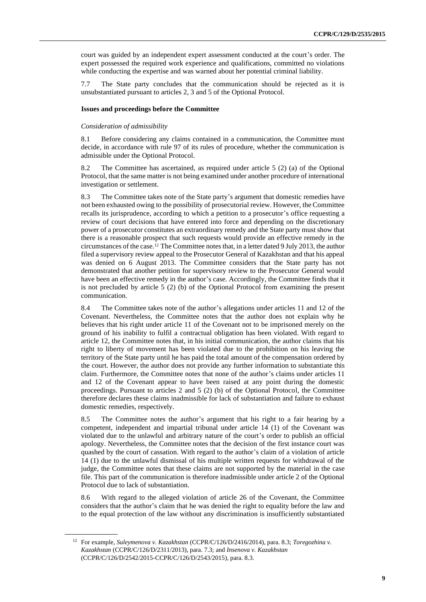court was guided by an independent expert assessment conducted at the court's order. The expert possessed the required work experience and qualifications, committed no violations while conducting the expertise and was warned about her potential criminal liability.

7.7 The State party concludes that the communication should be rejected as it is unsubstantiated pursuant to articles 2, 3 and 5 of the Optional Protocol.

### **Issues and proceedings before the Committee**

### *Consideration of admissibility*

8.1 Before considering any claims contained in a communication, the Committee must decide, in accordance with rule 97 of its rules of procedure, whether the communication is admissible under the Optional Protocol.

8.2 The Committee has ascertained, as required under article 5 (2) (a) of the Optional Protocol, that the same matter is not being examined under another procedure of international investigation or settlement.

8.3 The Committee takes note of the State party's argument that domestic remedies have not been exhausted owing to the possibility of prosecutorial review. However, the Committee recalls its jurisprudence, according to which a petition to a prosecutor's office requesting a review of court decisions that have entered into force and depending on the discretionary power of a prosecutor constitutes an extraordinary remedy and the State party must show that there is a reasonable prospect that such requests would provide an effective remedy in the circumstances of the case.<sup>12</sup> The Committee notes that, in a letter dated 9 July 2013, the author filed a supervisory review appeal to the Prosecutor General of Kazakhstan and that his appeal was denied on 6 August 2013. The Committee considers that the State party has not demonstrated that another petition for supervisory review to the Prosecutor General would have been an effective remedy in the author's case. Accordingly, the Committee finds that it is not precluded by article 5 (2) (b) of the Optional Protocol from examining the present communication.

8.4 The Committee takes note of the author's allegations under articles 11 and 12 of the Covenant. Nevertheless, the Committee notes that the author does not explain why he believes that his right under article 11 of the Covenant not to be imprisoned merely on the ground of his inability to fulfil a contractual obligation has been violated. With regard to article 12, the Committee notes that, in his initial communication, the author claims that his right to liberty of movement has been violated due to the prohibition on his leaving the territory of the State party until he has paid the total amount of the compensation ordered by the court. However, the author does not provide any further information to substantiate this claim. Furthermore, the Committee notes that none of the author's claims under articles 11 and 12 of the Covenant appear to have been raised at any point during the domestic proceedings. Pursuant to articles 2 and 5 (2) (b) of the Optional Protocol, the Committee therefore declares these claims inadmissible for lack of substantiation and failure to exhaust domestic remedies, respectively.

8.5 The Committee notes the author's argument that his right to a fair hearing by a competent, independent and impartial tribunal under article 14 (1) of the Covenant was violated due to the unlawful and arbitrary nature of the court's order to publish an official apology. Nevertheless, the Committee notes that the decision of the first instance court was quashed by the court of cassation. With regard to the author's claim of a violation of article 14 (1) due to the unlawful dismissal of his multiple written requests for withdrawal of the judge, the Committee notes that these claims are not supported by the material in the case file. This part of the communication is therefore inadmissible under article 2 of the Optional Protocol due to lack of substantiation.

8.6 With regard to the alleged violation of article 26 of the Covenant, the Committee considers that the author's claim that he was denied the right to equality before the law and to the equal protection of the law without any discrimination is insufficiently substantiated

<sup>12</sup> For example, *Suleymenova v. Kazakhstan* (CCPR/C/126/D/2416/2014), para. 8.3; *Toregozhina v. Kazakhstan* (CCPR/C/126/D/2311/2013), para. 7.3; and *Insenova v. Kazakhstan* (CCPR/C/126/D/2542/2015-CCPR/C/126/D/2543/2015), para. 8.3.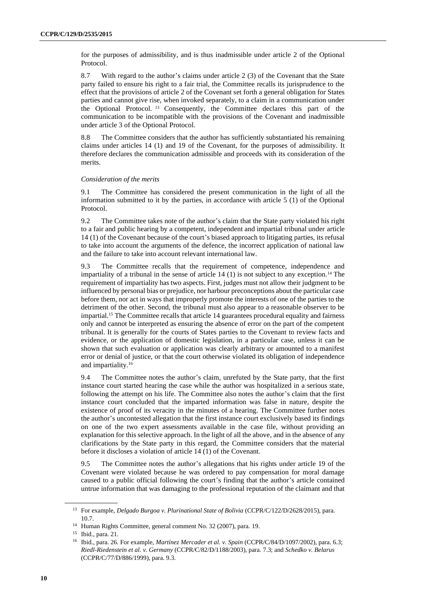for the purposes of admissibility, and is thus inadmissible under article 2 of the Optional Protocol.

8.7 With regard to the author's claims under article 2 (3) of the Covenant that the State party failed to ensure his right to a fair trial, the Committee recalls its jurisprudence to the effect that the provisions of article 2 of the Covenant set forth a general obligation for States parties and cannot give rise, when invoked separately, to a claim in a communication under the Optional Protocol. <sup>13</sup> Consequently, the Committee declares this part of the communication to be incompatible with the provisions of the Covenant and inadmissible under article 3 of the Optional Protocol.

8.8 The Committee considers that the author has sufficiently substantiated his remaining claims under articles 14 (1) and 19 of the Covenant, for the purposes of admissibility. It therefore declares the communication admissible and proceeds with its consideration of the merits.

### *Consideration of the merits*

9.1 The Committee has considered the present communication in the light of all the information submitted to it by the parties, in accordance with article 5 (1) of the Optional Protocol.

9.2 The Committee takes note of the author's claim that the State party violated his right to a fair and public hearing by a competent, independent and impartial tribunal under article 14 (1) of the Covenant because of the court's biased approach to litigating parties, its refusal to take into account the arguments of the defence, the incorrect application of national law and the failure to take into account relevant international law.

9.3 The Committee recalls that the requirement of competence, independence and impartiality of a tribunal in the sense of article  $14 \left( 1 \right)$  is not subject to any exception.<sup>14</sup> The requirement of impartiality has two aspects. First, judges must not allow their judgment to be influenced by personal bias or prejudice, nor harbour preconceptions about the particular case before them, nor act in ways that improperly promote the interests of one of the parties to the detriment of the other. Second, the tribunal must also appear to a reasonable observer to be impartial.<sup>15</sup> The Committee recalls that article 14 guarantees procedural equality and fairness only and cannot be interpreted as ensuring the absence of error on the part of the competent tribunal. It is generally for the courts of States parties to the Covenant to review facts and evidence, or the application of domestic legislation, in a particular case, unless it can be shown that such evaluation or application was clearly arbitrary or amounted to a manifest error or denial of justice, or that the court otherwise violated its obligation of independence and impartiality.<sup>16</sup>

9.4 The Committee notes the author's claim, unrefuted by the State party, that the first instance court started hearing the case while the author was hospitalized in a serious state, following the attempt on his life. The Committee also notes the author's claim that the first instance court concluded that the imparted information was false in nature, despite the existence of proof of its veracity in the minutes of a hearing. The Committee further notes the author's uncontested allegation that the first instance court exclusively based its findings on one of the two expert assessments available in the case file, without providing an explanation for this selective approach. In the light of all the above, and in the absence of any clarifications by the State party in this regard, the Committee considers that the material before it discloses a violation of article 14 (1) of the Covenant.

9.5 The Committee notes the author's allegations that his rights under article 19 of the Covenant were violated because he was ordered to pay compensation for moral damage caused to a public official following the court's finding that the author's article contained untrue information that was damaging to the professional reputation of the claimant and that

<sup>&</sup>lt;sup>13</sup> For example, *Delgado Burgoa v. Plurinational State of Bolivia* (CCPR/C/122/D/2628/2015), para. 10.7.

<sup>14</sup> Human Rights Committee, general comment No. 32 (2007), para. 19.

<sup>15</sup> Ibid., para. 21.

<sup>16</sup> Ibid., para. 26. For example, *Martínez Mercader et al. v. Spain* (CCPR/C/84/D/1097/2002), para. 6.3; *Riedl-Riedenstein et al. v. Germany* (CCPR/C/82/D/1188/2003), para. 7.3; and *Schedko v. Belarus* (CCPR/C/77/D/886/1999), para. 9.3.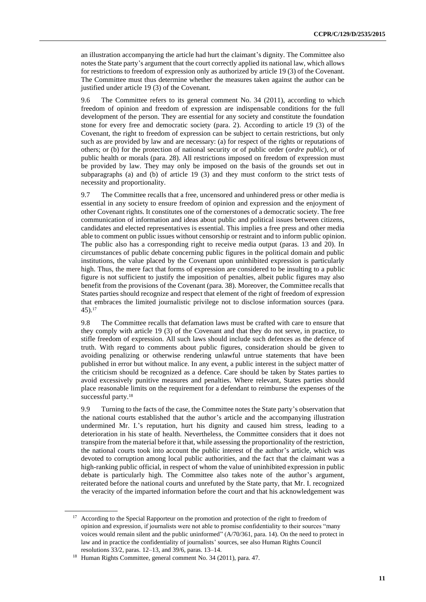an illustration accompanying the article had hurt the claimant's dignity. The Committee also notes the State party's argument that the court correctly applied its national law, which allows for restrictions to freedom of expression only as authorized by article 19 (3) of the Covenant. The Committee must thus determine whether the measures taken against the author can be justified under article 19 (3) of the Covenant.

9.6 The Committee refers to its general comment No. 34 (2011), according to which freedom of opinion and freedom of expression are indispensable conditions for the full development of the person. They are essential for any society and constitute the foundation stone for every free and democratic society (para. 2). According to article 19 (3) of the Covenant, the right to freedom of expression can be subject to certain restrictions, but only such as are provided by law and are necessary: (a) for respect of the rights or reputations of others; or (b) for the protection of national security or of public order (*ordre public*), or of public health or morals (para. 28). All restrictions imposed on freedom of expression must be provided by law. They may only be imposed on the basis of the grounds set out in subparagraphs (a) and (b) of article 19 (3) and they must conform to the strict tests of necessity and proportionality.

9.7 The Committee recalls that a free, uncensored and unhindered press or other media is essential in any society to ensure freedom of opinion and expression and the enjoyment of other Covenant rights. It constitutes one of the cornerstones of a democratic society. The free communication of information and ideas about public and political issues between citizens, candidates and elected representatives is essential. This implies a free press and other media able to comment on public issues without censorship or restraint and to inform public opinion. The public also has a corresponding right to receive media output (paras. 13 and 20). In circumstances of public debate concerning public figures in the political domain and public institutions, the value placed by the Covenant upon uninhibited expression is particularly high. Thus, the mere fact that forms of expression are considered to be insulting to a public figure is not sufficient to justify the imposition of penalties, albeit public figures may also benefit from the provisions of the Covenant (para. 38). Moreover, the Committee recalls that States parties should recognize and respect that element of the right of freedom of expression that embraces the limited journalistic privilege not to disclose information sources (para. 45).<sup>17</sup>

9.8 The Committee recalls that defamation laws must be crafted with care to ensure that they comply with article 19 (3) of the Covenant and that they do not serve, in practice, to stifle freedom of expression. All such laws should include such defences as the defence of truth. With regard to comments about public figures, consideration should be given to avoiding penalizing or otherwise rendering unlawful untrue statements that have been published in error but without malice. In any event, a public interest in the subject matter of the criticism should be recognized as a defence. Care should be taken by States parties to avoid excessively punitive measures and penalties. Where relevant, States parties should place reasonable limits on the requirement for a defendant to reimburse the expenses of the successful party.<sup>18</sup>

9.9 Turning to the facts of the case, the Committee notes the State party's observation that the national courts established that the author's article and the accompanying illustration undermined Mr. I.'s reputation, hurt his dignity and caused him stress, leading to a deterioration in his state of health. Nevertheless, the Committee considers that it does not transpire from the material before it that, while assessing the proportionality of the restriction, the national courts took into account the public interest of the author's article, which was devoted to corruption among local public authorities, and the fact that the claimant was a high-ranking public official, in respect of whom the value of uninhibited expression in public debate is particularly high. The Committee also takes note of the author's argument, reiterated before the national courts and unrefuted by the State party, that Mr. I. recognized the veracity of the imparted information before the court and that his acknowledgement was

<sup>&</sup>lt;sup>17</sup> According to the Special Rapporteur on the promotion and protection of the right to freedom of opinion and expression, if journalists were not able to promise confidentiality to their sources "many voices would remain silent and the public uninformed" (A/70/361, para. 14). On the need to protect in law and in practice the confidentiality of journalists' sources, see also Human Rights Council resolutions 33/2, paras. 12–13, and 39/6, paras. 13–14.

<sup>18</sup> Human Rights Committee, general comment No. 34 (2011), para. 47.